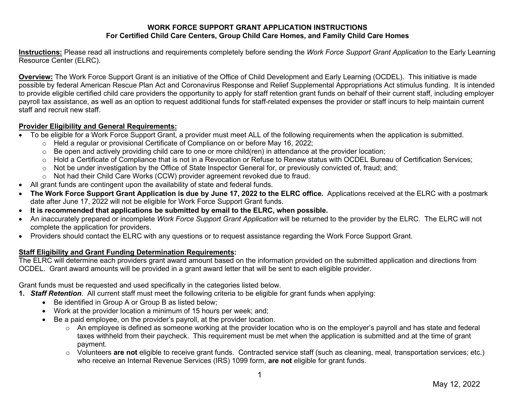## **WORK FORCE SUPPORT GRANT APPLICATION INSTRUCTIONS For Certified Child Care Centers, Group Child Care Homes, and Family Child Care Homes**

**Instructions:** Please read all instructions and requirements completely before sending the *Work Force Support Grant Application* to the Early Learning Resource Center (ELRC).

**Overview:** The Work Force Support Grant is an initiative of the Office of Child Development and Early Learning (OCDEL). This initiative is made possible by federal American Rescue Plan Act and Coronavirus Response and Relief Supplemental Appropriations Act stimulus funding. It is intended to provide eligible certified child care providers the opportunity to apply for staff retention grant funds on behalf of their current staff, including employer payroll tax assistance, as well as an option to request additional funds for staff-related expenses the provider or staff incurs to help maintain current staff and recruit new staff.

## **Provider Eligibility and General Requirements:**

- To be eligible for a Work Force Support Grant, a provider must meet ALL of the following requirements when the application is submitted.
	- o Held a regular or provisional Certificate of Compliance on or before May 16, 2022;
	- $\circ$  Be open and actively providing child care to one or more child(ren) in attendance at the provider location;
	- o Hold a Certificate of Compliance that is not in a Revocation or Refuse to Renew status with OCDEL Bureau of Certification Services;
	- o Not be under investigation by the Office of State Inspector General for, or previously convicted of, fraud; and;
	- o Not had their Child Care Works (CCW) provider agreement revoked due to fraud.
- All grant funds are contingent upon the availability of state and federal funds.
- **The Work Force Support Grant Application is due by June 17, 2022 to the ELRC office.** Applications received at the ELRC with a postmark date after June 17, 2022 will not be eligible for Work Force Support Grant funds.
- **It is recommended that applications be submitted by email to the ELRC, when possible.**
- An inaccurately prepared or incomplete *Work Force Support Grant Application* will be returned to the provider by the ELRC. The ELRC will not complete the application for providers.
- Providers should contact the ELRC with any questions or to request assistance regarding the Work Force Support Grant.

## **Staff Eligibility and Grant Funding Determination Requirements:**

The ELRC will determine each providers grant award amount based on the information provided on the submitted application and directions from OCDEL. Grant award amounts will be provided in a grant award letter that will be sent to each eligible provider.

Grant funds must be requested and used specifically in the categories listed below.

**1.** *Staff Retention*. All current staff must meet the following criteria to be eligible for grant funds when applying:

- Be identified in Group A or Group B as listed below;
- Work at the provider location a minimum of 15 hours per week; and;
- Be a paid employee, on the provider's payroll, at the provider location.
	- $\circ$  An employee is defined as someone working at the provider location who is on the employer's payroll and has state and federal taxes withheld from their paycheck. This requirement must be met when the application is submitted and at the time of grant payment.
	- o Volunteers **are not** eligible to receive grant funds. Contracted service staff (such as cleaning, meal, transportation services; etc.) who receive an Internal Revenue Services (IRS) 1099 form, **are not** eligible for grant funds.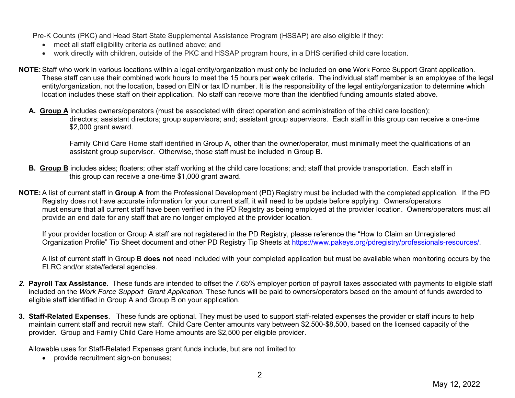Pre-K Counts (PKC) and Head Start State Supplemental Assistance Program (HSSAP) are also eligible if they:

- meet all staff eligibility criteria as outlined above; and
- work directly with children, outside of the PKC and HSSAP program hours, in a DHS certified child care location.
- **NOTE:**Staff who work in various locations within a legal entity/organization must only be included on **one** Work Force Support Grant application. These staff can use their combined work hours to meet the 15 hours per week criteria. The individual staff member is an employee of the legal entity/organization, not the location, based on EIN or tax ID number. It is the responsibility of the legal entity/organization to determine which location includes these staff on their application. No staff can receive more than the identified funding amounts stated above.
	- **A. Group A** includes owners/operators (must be associated with direct operation and administration of the child care location); directors; assistant directors; group supervisors; and; assistant group supervisors. Each staff in this group can receive a one-time \$2,000 grant award.

 Family Child Care Home staff identified in Group A, other than the owner/operator, must minimally meet the qualifications of an assistant group supervisor. Otherwise, those staff must be included in Group B.

- **B. Group B** includes aides; floaters; other staff working at the child care locations; and; staff that provide transportation. Each staff in this group can receive a one-time \$1,000 grant award.
- **NOTE:**A list of current staff in **Group A** from the Professional Development (PD) Registry must be included with the completed application. If the PD Registry does not have accurate information for your current staff, it will need to be update before applying. Owners/operators must ensure that all current staff have been verified in the PD Registry as being employed at the provider location. Owners/operators must all provide an end date for any staff that are no longer employed at the provider location.

If your provider location or Group A staff are not registered in the PD Registry, please reference the "How to Claim an Unregistered Organization Profile" Tip Sheet document and other PD Registry Tip Sheets at [https://www.pakeys.org/pdregistry/professionals-resources/.](https://www.pakeys.org/pdregistry/professionals-resources/)

A list of current staff in Group B **does not** need included with your completed application but must be available when monitoring occurs by the ELRC and/or state/federal agencies.

- *2.* **Payroll Tax Assistance**. These funds are intended to offset the 7.65% employer portion of payroll taxes associated with payments to eligible staff included on the *Work Force Support Grant Application.* These funds will be paid to owners/operators based on the amount of funds awarded to eligible staff identified in Group A and Group B on your application.
- **3. Staff-Related Expenses**. These funds are optional. They must be used to support staff-related expenses the provider or staff incurs to help maintain current staff and recruit new staff. Child Care Center amounts vary between \$2,500-\$8,500, based on the licensed capacity of the provider. Group and Family Child Care Home amounts are \$2,500 per eligible provider.

Allowable uses for Staff-Related Expenses grant funds include, but are not limited to:

• provide recruitment sign-on bonuses: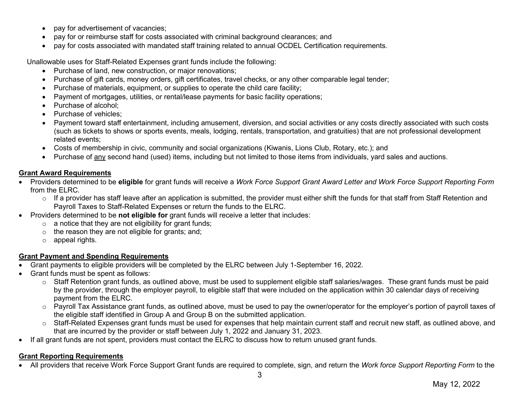- pay for advertisement of vacancies;
- pay for or reimburse staff for costs associated with criminal background clearances; and
- pay for costs associated with mandated staff training related to annual OCDEL Certification requirements.

Unallowable uses for Staff-Related Expenses grant funds include the following:

- Purchase of land, new construction, or major renovations;
- Purchase of gift cards, money orders, gift certificates, travel checks, or any other comparable legal tender;
- Purchase of materials, equipment, or supplies to operate the child care facility;
- Payment of mortgages, utilities, or rental/lease payments for basic facility operations;
- Purchase of alcohol:
- Purchase of vehicles:
- Payment toward staff entertainment, including amusement, diversion, and social activities or any costs directly associated with such costs (such as tickets to shows or sports events, meals, lodging, rentals, transportation, and gratuities) that are not professional development related events;
- Costs of membership in civic, community and social organizations (Kiwanis, Lions Club, Rotary, etc.); and
- Purchase of any second hand (used) items, including but not limited to those items from individuals, yard sales and auctions.

# **Grant Award Requirements**

- Providers determined to be **eligible** for grant funds will receive a *Work Force Support Grant Award Letter and Work Force Support Reporting Form*  from the ELRC*.* 
	- $\circ$  If a provider has staff leave after an application is submitted, the provider must either shift the funds for that staff from Staff Retention and Payroll Taxes to Staff-Related Expenses or return the funds to the ELRC.
- Providers determined to be **not eligible for** grant funds will receive a letter that includes:
	- $\circ$  a notice that they are not eligibility for grant funds;
	- $\circ$  the reason they are not eligible for grants; and;
	- o appeal rights.

# **Grant Payment and Spending Requirements**

- Grant payments to eligible providers will be completed by the ELRC between July 1-September 16, 2022.
- Grant funds must be spent as follows:
	- o Staff Retention grant funds, as outlined above, must be used to supplement eligible staff salaries/wages. These grant funds must be paid by the provider, through the employer payroll, to eligible staff that were included on the application within 30 calendar days of receiving payment from the ELRC.
	- $\circ$  Payroll Tax Assistance grant funds, as outlined above, must be used to pay the owner/operator for the employer's portion of payroll taxes of the eligible staff identified in Group A and Group B on the submitted application.
	- o Staff-Related Expenses grant funds must be used for expenses that help maintain current staff and recruit new staff, as outlined above, and that are incurred by the provider or staff between July 1, 2022 and January 31, 2023.
- If all grant funds are not spent, providers must contact the ELRC to discuss how to return unused grant funds.

# **Grant Reporting Requirements**

• All providers that receive Work Force Support Grant funds are required to complete, sign, and return the *Work force Support Reporting Form* to the